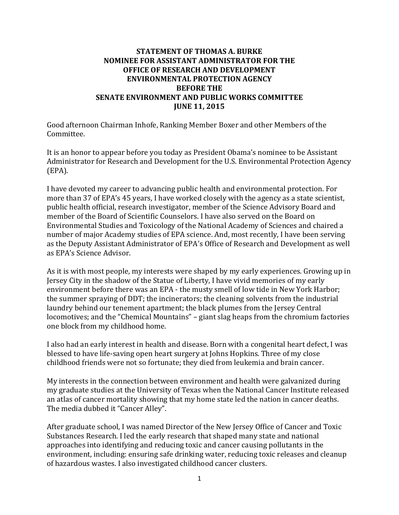## **STATEMENT OF THOMAS A. BURKE NOMINEE FOR ASSISTANT ADMINISTRATOR FOR THE OFFICE OF RESEARCH AND DEVELOPMENT ENVIRONMENTAL PROTECTION AGENCY BEFORE THE SENATE ENVIRONMENT AND PUBLIC WORKS COMMITTEE JUNE 11, 2015**

Good afternoon Chairman Inhofe, Ranking Member Boxer and other Members of the Committee.

It is an honor to appear before you today as President Obama's nominee to be Assistant Administrator for Research and Development for the U.S. Environmental Protection Agency (EPA).

I have devoted my career to advancing public health and environmental protection. For more than 37 of EPA's 45 years, I have worked closely with the agency as a state scientist, public health official, research investigator, member of the Science Advisory Board and member of the Board of Scientific Counselors. I have also served on the Board on Environmental Studies and Toxicology of the National Academy of Sciences and chaired a number of major Academy studies of EPA science. And, most recently, I have been serving as the Deputy Assistant Administrator of EPA's Office of Research and Development as well as EPA's Science Advisor.

As it is with most people, my interests were shaped by my early experiences. Growing up in Jersey City in the shadow of the Statue of Liberty, I have vivid memories of my early environment before there was an EPA - the musty smell of low tide in New York Harbor; the summer spraying of DDT; the incinerators; the cleaning solvents from the industrial laundry behind our tenement apartment; the black plumes from the Jersey Central locomotives; and the "Chemical Mountains" – giant slag heaps from the chromium factories one block from my childhood home.

I also had an early interest in health and disease. Born with a congenital heart defect, I was blessed to have life-saving open heart surgery at Johns Hopkins. Three of my close childhood friends were not so fortunate; they died from leukemia and brain cancer.

My interests in the connection between environment and health were galvanized during my graduate studies at the University of Texas when the National Cancer Institute released an atlas of cancer mortality showing that my home state led the nation in cancer deaths. The media dubbed it "Cancer Alley".

After graduate school, I was named Director of the New Jersey Office of Cancer and Toxic Substances Research. I led the early research that shaped many state and national approaches into identifying and reducing toxic and cancer causing pollutants in the environment, including: ensuring safe drinking water, reducing toxic releases and cleanup of hazardous wastes. I also investigated childhood cancer clusters.